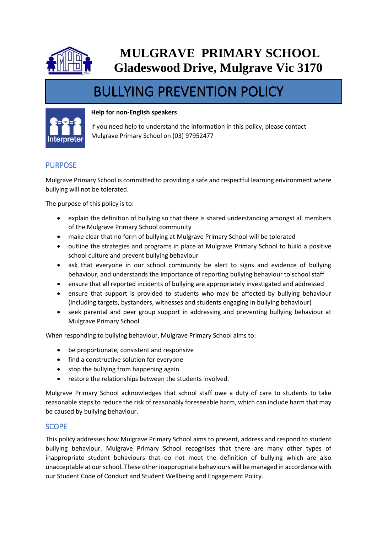

# **MULGRAVE PRIMARY SCHOOL Gladeswood Drive, Mulgrave Vic 3170**

# BULLYING PREVENTION POLICY

#### **Help for non-English speakers**



If you need help to understand the information in this policy, please contact Mulgrave Primary School on (03) 97952477

# PURPOSE

Mulgrave Primary School is committed to providing a safe and respectful learning environment where bullying will not be tolerated.

The purpose of this policy is to:

- explain the definition of bullying so that there is shared understanding amongst all members of the Mulgrave Primary School community
- make clear that no form of bullying at Mulgrave Primary School will be tolerated
- outline the strategies and programs in place at Mulgrave Primary School to build a positive school culture and prevent bullying behaviour
- ask that everyone in our school community be alert to signs and evidence of bullying behaviour, and understands the importance of reporting bullying behaviour to school staff
- ensure that all reported incidents of bullying are appropriately investigated and addressed
- ensure that support is provided to students who may be affected by bullying behaviour (including targets, bystanders, witnesses and students engaging in bullying behaviour)
- seek parental and peer group support in addressing and preventing bullying behaviour at Mulgrave Primary School

When responding to bullying behaviour, Mulgrave Primary School aims to:

- be proportionate, consistent and responsive
- find a constructive solution for everyone
- stop the bullying from happening again
- restore the relationships between the students involved.

Mulgrave Primary School acknowledges that school staff owe a duty of care to students to take reasonable steps to reduce the risk of reasonably foreseeable harm, which can include harm that may be caused by bullying behaviour.

#### **SCOPE**

This policy addresses how Mulgrave Primary School aims to prevent, address and respond to student bullying behaviour. Mulgrave Primary School recognises that there are many other types of inappropriate student behaviours that do not meet the definition of bullying which are also unacceptable at our school. These other inappropriate behaviours will be managed in accordance with our Student Code of Conduct and Student Wellbeing and Engagement Policy.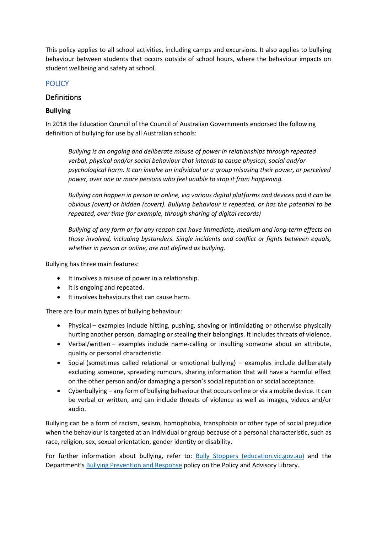This policy applies to all school activities, including camps and excursions. It also applies to bullying behaviour between students that occurs outside of school hours, where the behaviour impacts on student wellbeing and safety at school.

# **POLICY**

# Definitions

### **Bullying**

In 2018 the Education Council of the Council of Australian Governments endorsed the following definition of bullying for use by all Australian schools:

*Bullying is an ongoing and deliberate misuse of power in relationships through repeated verbal, physical and/or social behaviour that intends to cause physical, social and/or psychological harm. It can involve an individual or a group misusing their power, or perceived power, over one or more persons who feel unable to stop it from happening.*

*Bullying can happen in person or online, via various digital platforms and devices and it can be obvious (overt) or hidden (covert). Bullying behaviour is repeated, or has the potential to be repeated, over time (for example, through sharing of digital records)*

*Bullying of any form or for any reason can have immediate, medium and long-term effects on those involved, including bystanders. Single incidents and conflict or fights between equals, whether in person or online, are not defined as bullying.*

Bullying has three main features:

- It involves a misuse of power in a relationship.
- It is ongoing and repeated.
- It involves behaviours that can cause harm.

There are four main types of bullying behaviour:

- Physical examples include hitting, pushing, shoving or intimidating or otherwise physically hurting another person, damaging or stealing their belongings. It includes threats of violence.
- Verbal/written examples include name-calling or insulting someone about an attribute, quality or personal characteristic.
- Social (sometimes called relational or emotional bullying) examples include deliberately excluding someone, spreading rumours, sharing information that will have a harmful effect on the other person and/or damaging a person's social reputation or social acceptance.
- Cyberbullying any form of bullying behaviour that occurs online or via a mobile device. It can be verbal or written, and can include threats of violence as well as images, videos and/or audio.

Bullying can be a form of racism, sexism, homophobia, transphobia or other type of social prejudice when the behaviour is targeted at an individual or group because of a personal characteristic, such as race, religion, sex, sexual orientation, gender identity or disability.

For further information about bullying, refer to: [Bully Stoppers \(education.vic.gov.au\)](https://www.education.vic.gov.au/about/programs/bullystoppers/Pages/default.aspx) and the Department's [Bullying Prevention and Response](https://www2.education.vic.gov.au/pal/bullying-prevention-response/policy) policy on the Policy and Advisory Library.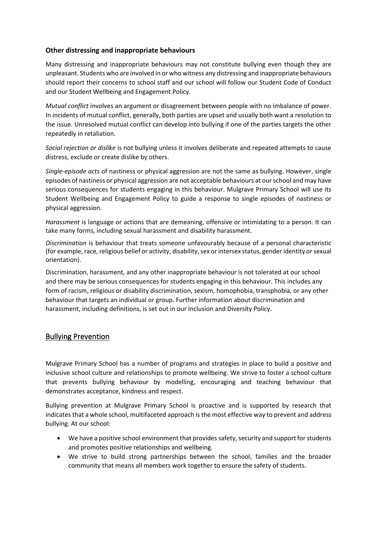#### **Other distressing and inappropriate behaviours**

Many distressing and inappropriate behaviours may not constitute bullying even though they are unpleasant. Students who are involved in or who witness any distressing and inappropriate behaviours should report their concerns to school staff and our school will follow our Student Code of Conduct and our Student Wellbeing and Engagement Policy.

*Mutual conflict* involves an argument or disagreement between people with no imbalance of power. In incidents of mutual conflict, generally, both parties are upset and usually both want a resolution to the issue. Unresolved mutual conflict can develop into bullying if one of the parties targets the other repeatedly in retaliation.

*Social rejection or dislike* is not bullying unless it involves deliberate and repeated attempts to cause distress, exclude or create dislike by others.

*Single-episode acts* of nastiness or physical aggression are not the same as bullying. However, single episodes of nastiness or physical aggression are not acceptable behaviours at our school and may have serious consequences for students engaging in this behaviour. Mulgrave Primary School will use its Student Wellbeing and Engagement Policy to guide a response to single episodes of nastiness or physical aggression.

*Harassment* is language or actions that are demeaning, offensive or intimidating to a person. It can take many forms, including sexual harassment and disability harassment.

*Discrimination* is behaviour that treats someone unfavourably because of a personal characteristic (for example, race, religious belief or activity, disability, sex or intersex status, gender identity or sexual orientation).

Discrimination, harassment, and any other inappropriate behaviour is not tolerated at our school and there may be serious consequences for students engaging in this behaviour. This includes any form of racism, religious or disability discrimination, sexism, homophobia, transphobia, or any other behaviour that targets an individual or group. Further information about discrimination and harassment, including definitions, is set out in our Inclusion and Diversity Policy.

# Bullying Prevention

Mulgrave Primary School has a number of programs and strategies in place to build a positive and inclusive school culture and relationships to promote wellbeing. We strive to foster a school culture that prevents bullying behaviour by modelling, encouraging and teaching behaviour that demonstrates acceptance, kindness and respect.

Bullying prevention at Mulgrave Primary School is proactive and is supported by research that indicates that a whole school, multifaceted approach is the most effective way to prevent and address bullying. At our school:

- We have a positive school environment that provides safety, security and support for students and promotes positive relationships and wellbeing.
- We strive to build strong partnerships between the school, families and the broader community that means all members work together to ensure the safety of students.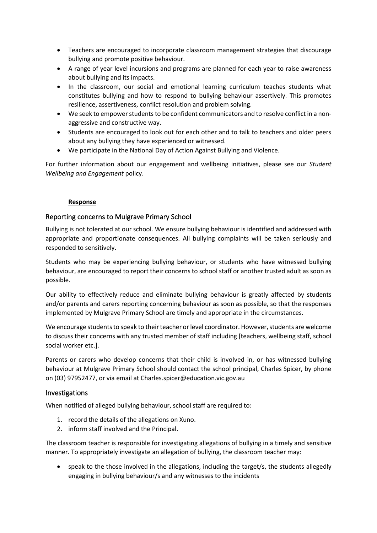- Teachers are encouraged to incorporate classroom management strategies that discourage bullying and promote positive behaviour.
- A range of year level incursions and programs are planned for each year to raise awareness about bullying and its impacts.
- In the classroom, our social and emotional learning curriculum teaches students what constitutes bullying and how to respond to bullying behaviour assertively. This promotes resilience, assertiveness, conflict resolution and problem solving.
- We seek to empower students to be confident communicators and to resolve conflict in a nonaggressive and constructive way.
- Students are encouraged to look out for each other and to talk to teachers and older peers about any bullying they have experienced or witnessed.
- We participate in the National Day of Action Against Bullying and Violence.

For further information about our engagement and wellbeing initiatives, please see our *Student Wellbeing and Engagement* policy.

#### **Response**

#### Reporting concerns to Mulgrave Primary School

Bullying is not tolerated at our school. We ensure bullying behaviour is identified and addressed with appropriate and proportionate consequences. All bullying complaints will be taken seriously and responded to sensitively.

Students who may be experiencing bullying behaviour, or students who have witnessed bullying behaviour, are encouraged to report their concerns to school staff or another trusted adult as soon as possible.

Our ability to effectively reduce and eliminate bullying behaviour is greatly affected by students and/or parents and carers reporting concerning behaviour as soon as possible, so that the responses implemented by Mulgrave Primary School are timely and appropriate in the circumstances.

We encourage students to speak to their teacher or level coordinator. However, students are welcome to discuss their concerns with any trusted member of staff including [teachers, wellbeing staff, school social worker etc.].

Parents or carers who develop concerns that their child is involved in, or has witnessed bullying behaviour at Mulgrave Primary School should contact the school principal, Charles Spicer, by phone on (03) 97952477, or via email at Charles.spicer@education.vic.gov.au

#### Investigations

When notified of alleged bullying behaviour, school staff are required to:

- 1. record the details of the allegations on Xuno.
- 2. inform staff involved and the Principal.

The classroom teacher is responsible for investigating allegations of bullying in a timely and sensitive manner. To appropriately investigate an allegation of bullying, the classroom teacher may:

• speak to the those involved in the allegations, including the target/s, the students allegedly engaging in bullying behaviour/s and any witnesses to the incidents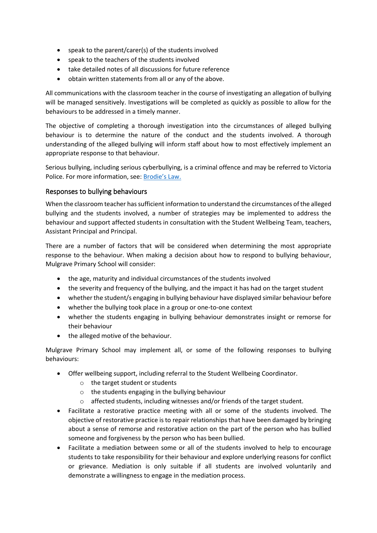- speak to the parent/carer(s) of the students involved
- speak to the teachers of the students involved
- take detailed notes of all discussions for future reference
- obtain written statements from all or any of the above.

All communications with the classroom teacher in the course of investigating an allegation of bullying will be managed sensitively. Investigations will be completed as quickly as possible to allow for the behaviours to be addressed in a timely manner.

The objective of completing a thorough investigation into the circumstances of alleged bullying behaviour is to determine the nature of the conduct and the students involved. A thorough understanding of the alleged bullying will inform staff about how to most effectively implement an appropriate response to that behaviour.

Serious bullying, including serious cyberbullying, is a criminal offence and may be referred to Victoria Police. For more information, see: [Brodie's Law.](http://www.education.vic.gov.au/about/programs/bullystoppers/Pages/advicesheetbrodieslaw.aspx)

#### Responses to bullying behaviours

When the classroom teacher has sufficient information to understand the circumstances of the alleged bullying and the students involved, a number of strategies may be implemented to address the behaviour and support affected students in consultation with the Student Wellbeing Team, teachers, Assistant Principal and Principal.

There are a number of factors that will be considered when determining the most appropriate response to the behaviour. When making a decision about how to respond to bullying behaviour, Mulgrave Primary School will consider:

- the age, maturity and individual circumstances of the students involved
- the severity and frequency of the bullying, and the impact it has had on the target student
- whether the student/s engaging in bullying behaviour have displayed similar behaviour before
- whether the bullying took place in a group or one-to-one context
- whether the students engaging in bullying behaviour demonstrates insight or remorse for their behaviour
- the alleged motive of the behaviour.

Mulgrave Primary School may implement all, or some of the following responses to bullying behaviours:

- Offer wellbeing support, including referral to the Student Wellbeing Coordinator.
	- o the target student or students
	- o the students engaging in the bullying behaviour
	- $\circ$  affected students, including witnesses and/or friends of the target student.
- Facilitate a restorative practice meeting with all or some of the students involved. The objective of restorative practice is to repair relationships that have been damaged by bringing about a sense of remorse and restorative action on the part of the person who has bullied someone and forgiveness by the person who has been bullied.
- Facilitate a mediation between some or all of the students involved to help to encourage students to take responsibility for their behaviour and explore underlying reasons for conflict or grievance. Mediation is only suitable if all students are involved voluntarily and demonstrate a willingness to engage in the mediation process.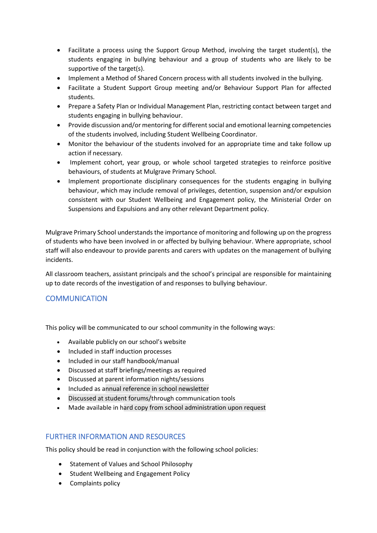- Facilitate a process using the Support Group Method, involving the target student(s), the students engaging in bullying behaviour and a group of students who are likely to be supportive of the target(s).
- Implement a Method of Shared Concern process with all students involved in the bullying.
- Facilitate a Student Support Group meeting and/or Behaviour Support Plan for affected students.
- Prepare a Safety Plan or Individual Management Plan, restricting contact between target and students engaging in bullying behaviour.
- Provide discussion and/or mentoring for different social and emotional learning competencies of the students involved, including Student Wellbeing Coordinator.
- Monitor the behaviour of the students involved for an appropriate time and take follow up action if necessary.
- Implement cohort, year group, or whole school targeted strategies to reinforce positive behaviours, of students at Mulgrave Primary School.
- Implement proportionate disciplinary consequences for the students engaging in bullying behaviour, which may include removal of privileges, detention, suspension and/or expulsion consistent with our Student Wellbeing and Engagement policy, the Ministerial Order on Suspensions and Expulsions and any other relevant Department policy.

Mulgrave Primary School understands the importance of monitoring and following up on the progress of students who have been involved in or affected by bullying behaviour. Where appropriate, school staff will also endeavour to provide parents and carers with updates on the management of bullying incidents.

All classroom teachers, assistant principals and the school's principal are responsible for maintaining up to date records of the investigation of and responses to bullying behaviour.

# **COMMUNICATION**

This policy will be communicated to our school community in the following ways:

- Available publicly on our school's website
- Included in staff induction processes
- Included in our staff handbook/manual
- Discussed at staff briefings/meetings as required
- Discussed at parent information nights/sessions
- Included as annual reference in school newsletter
- Discussed at student forums/through communication tools
- Made available in hard copy from school administration upon request

#### FURTHER INFORMATION AND RESOURCES

This policy should be read in conjunction with the following school policies:

- Statement of Values and School Philosophy
- Student Wellbeing and Engagement Policy
- Complaints policy